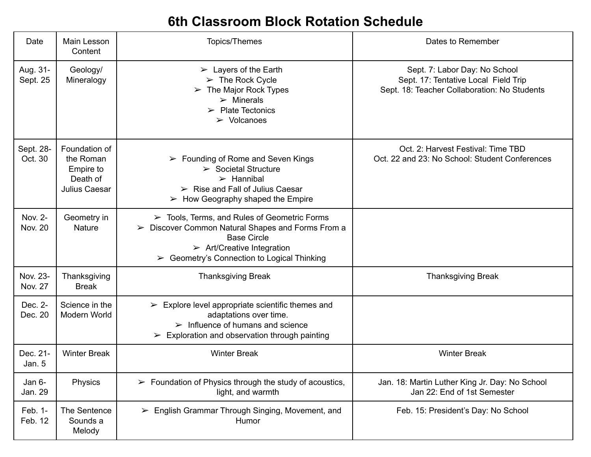## **6th Classroom Block Rotation Schedule**

| Date                      | Main Lesson<br>Content                                               | <b>Topics/Themes</b>                                                                                                                                                                                                                                         | Dates to Remember                                                                                                     |
|---------------------------|----------------------------------------------------------------------|--------------------------------------------------------------------------------------------------------------------------------------------------------------------------------------------------------------------------------------------------------------|-----------------------------------------------------------------------------------------------------------------------|
| Aug. 31-<br>Sept. 25      | Geology/<br>Mineralogy                                               | $\triangleright$ Layers of the Earth<br>$\triangleright$ The Rock Cycle<br>The Major Rock Types<br>➤<br>$\triangleright$ Minerals<br>$\triangleright$ Plate Tectonics<br>$\triangleright$ Volcanoes                                                          | Sept. 7: Labor Day: No School<br>Sept. 17: Tentative Local Field Trip<br>Sept. 18: Teacher Collaboration: No Students |
| Sept. 28-<br>Oct. 30      | Foundation of<br>the Roman<br>Empire to<br>Death of<br>Julius Caesar | $\triangleright$ Founding of Rome and Seven Kings<br>$\triangleright$ Societal Structure<br>$\triangleright$ Hannibal<br>$\triangleright$ Rise and Fall of Julius Caesar<br>$\triangleright$ How Geography shaped the Empire                                 | Oct. 2: Harvest Festival: Time TBD<br>Oct. 22 and 23: No School: Student Conferences                                  |
| Nov. 2-<br><b>Nov. 20</b> | Geometry in<br><b>Nature</b>                                         | $\triangleright$ Tools, Terms, and Rules of Geometric Forms<br>Discover Common Natural Shapes and Forms From a<br>➤<br><b>Base Circle</b><br>$\triangleright$ Art/Creative Integration<br>Geometry's Connection to Logical Thinking<br>$\blacktriangleright$ |                                                                                                                       |
| Nov. 23-<br>Nov. 27       | Thanksgiving<br><b>Break</b>                                         | <b>Thanksgiving Break</b>                                                                                                                                                                                                                                    | <b>Thanksgiving Break</b>                                                                                             |
| Dec. 2-<br>Dec. 20        | Science in the<br>Modern World                                       | $\triangleright$ Explore level appropriate scientific themes and<br>adaptations over time.<br>$\triangleright$ Influence of humans and science<br>$\triangleright$ Exploration and observation through painting                                              |                                                                                                                       |
| Dec. 21-<br>Jan. 5        | <b>Winter Break</b>                                                  | <b>Winter Break</b>                                                                                                                                                                                                                                          | <b>Winter Break</b>                                                                                                   |
| Jan 6-<br>Jan. 29         | Physics                                                              | $\triangleright$ Foundation of Physics through the study of acoustics,<br>light, and warmth                                                                                                                                                                  | Jan. 18: Martin Luther King Jr. Day: No School<br>Jan 22: End of 1st Semester                                         |
| Feb. 1-<br>Feb. 12        | The Sentence<br>Sounds a<br>Melody                                   | $\triangleright$ English Grammar Through Singing, Movement, and<br>Humor                                                                                                                                                                                     | Feb. 15: President's Day: No School                                                                                   |